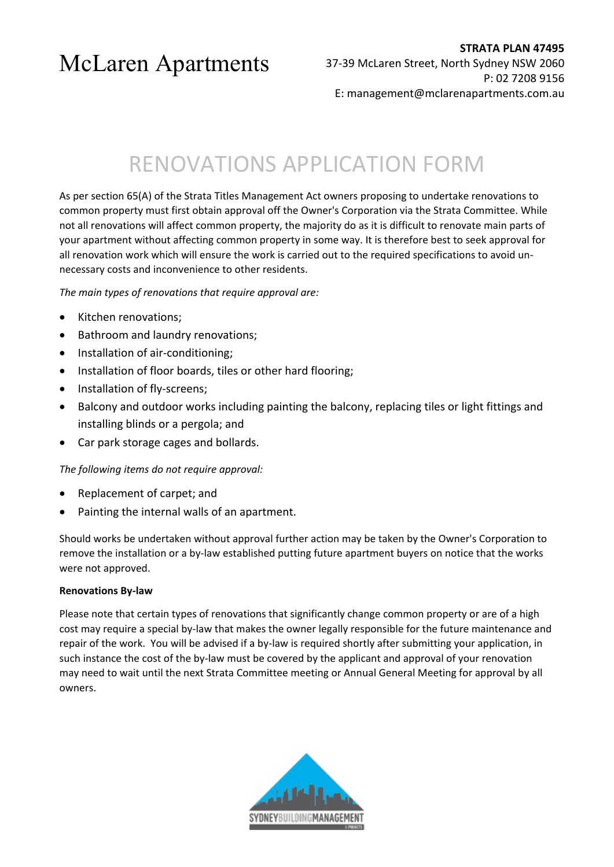# RENOVATIONS APPLICATION FORM

As per section 65(A) of the Strata Titles Management Act owners proposing to undertake renovations to common property must first obtain approval off the Owner's Corporation via the Strata Committee. While not all renovations will affect common property, the majority do as it is difficult to renovate main parts of your apartment without affecting common property in some way. It is therefore best to seek approval for all renovation work which will ensure the work is carried out to the required specifications to avoid unnecessary costs and inconvenience to other residents.

*The main types of renovations that require approval are:*

- Kitchen renovations;
- Bathroom and laundry renovations;
- Installation of air-conditioning;
- Installation of floor boards, tiles or other hard flooring;
- Installation of fly-screens;
- Balcony and outdoor works including painting the balcony, replacing tiles or light fittings and installing blinds or a pergola; and
- Car park storage cages and bollards.

#### *The following items do not require approval:*

- Replacement of carpet; and
- Painting the internal walls of an apartment.

Should works be undertaken without approval further action may be taken by the Owner's Corporation to remove the installation or a by-law established putting future apartment buyers on notice that the works were not approved.

#### **Renovations By-law**

Please note that certain types of renovations that significantly change common property or are of a high cost may require a special by-law that makes the owner legally responsible for the future maintenance and repair of the work. You will be advised if a by-law is required shortly after submitting your application, in such instance the cost of the by-law must be covered by the applicant and approval of your renovation may need to wait until the next Strata Committee meeting or Annual General Meeting for approval by all owners.

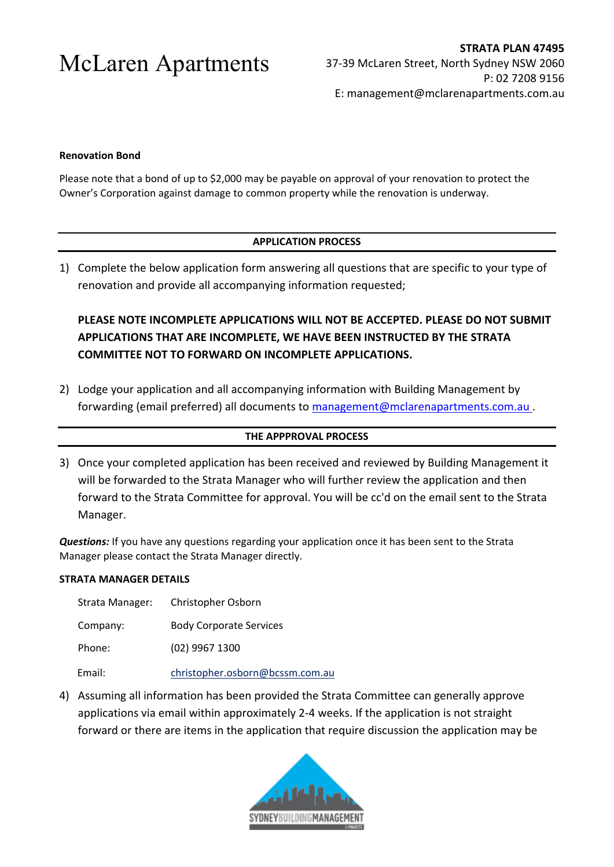#### **Renovation Bond**

Please note that a bond of up to \$2,000 may be payable on approval of your renovation to protect the Owner's Corporation against damage to common property while the renovation is underway.

#### **APPLICATION PROCESS**

1) Complete the below application form answering all questions that are specific to your type of renovation and provide all accompanying information requested;

### **PLEASE NOTE INCOMPLETE APPLICATIONS WILL NOT BE ACCEPTED. PLEASE DO NOT SUBMIT APPLICATIONS THAT ARE INCOMPLETE, WE HAVE BEEN INSTRUCTED BY THE STRATA COMMITTEE NOT TO FORWARD ON INCOMPLETE APPLICATIONS.**

2) Lodge your application and all accompanying information with Building Management by forwarding (email preferred) all documents to [management@mclarenapartments.com.au](mailto:management@mclarenapartments.com.au).

#### **THE APPPROVAL PROCESS**

3) Once your completed application has been received and reviewed by Building Management it will be forwarded to the Strata Manager who will further review the application and then forward to the Strata Committee for approval. You will be cc'd on the email sent to the Strata Manager.

*Questions:* If you have any questions regarding your application once it has been sent to the Strata Manager please contact the Strata Manager directly.

#### **STRATA MANAGER DETAILS**

| Strata Manager: | Christopher Osborn              |
|-----------------|---------------------------------|
| Company:        | <b>Body Corporate Services</b>  |
| Phone:          | (02) 9967 1300                  |
| Email:          | christopher.osborn@bcssm.com.au |

4) Assuming all information has been provided the Strata Committee can generally approve applications via email within approximately 2-4 weeks. If the application is not straight forward or there are items in the application that require discussion the application may be

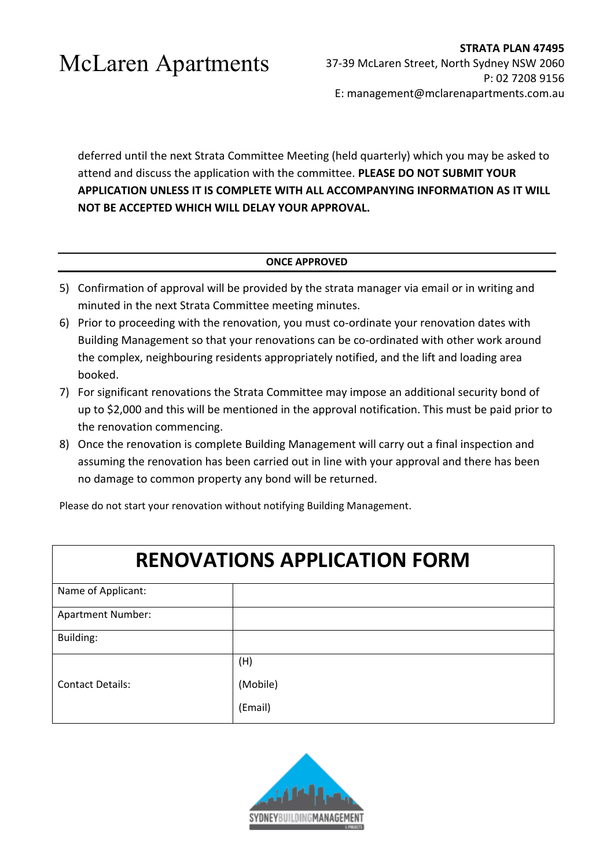deferred until the next Strata Committee Meeting (held quarterly) which you may be asked to attend and discuss the application with the committee. **PLEASE DO NOT SUBMIT YOUR APPLICATION UNLESS IT IS COMPLETE WITH ALL ACCOMPANYING INFORMATION AS IT WILL NOT BE ACCEPTED WHICH WILL DELAY YOUR APPROVAL.** 

#### **ONCE APPROVED**

- 5) Confirmation of approval will be provided by the strata manager via email or in writing and minuted in the next Strata Committee meeting minutes.
- 6) Prior to proceeding with the renovation, you must co-ordinate your renovation dates with Building Management so that your renovations can be co-ordinated with other work around the complex, neighbouring residents appropriately notified, and the lift and loading area booked.
- 7) For significant renovations the Strata Committee may impose an additional security bond of up to \$2,000 and this will be mentioned in the approval notification. This must be paid prior to the renovation commencing.
- 8) Once the renovation is complete Building Management will carry out a final inspection and assuming the renovation has been carried out in line with your approval and there has been no damage to common property any bond will be returned.

Please do not start your renovation without notifying Building Management.

### **RENOVATIONS APPLICATION FORM**

| Name of Applicant:       |          |
|--------------------------|----------|
| <b>Apartment Number:</b> |          |
| Building:                |          |
|                          | (H)      |
| <b>Contact Details:</b>  | (Mobile) |
|                          | (Email)  |

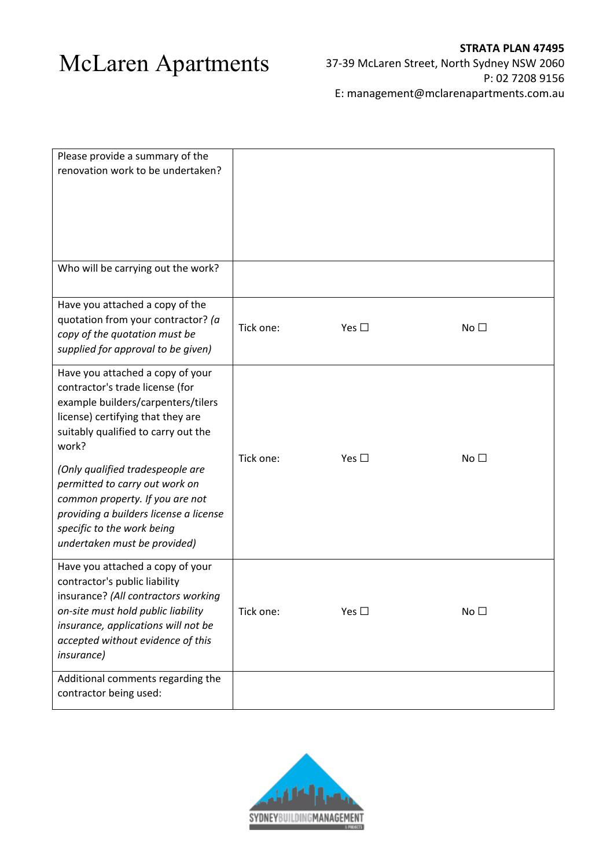| Please provide a summary of the<br>renovation work to be undertaken?                                                                                                                                                                                                                                                                                                                                            |           |               |                 |
|-----------------------------------------------------------------------------------------------------------------------------------------------------------------------------------------------------------------------------------------------------------------------------------------------------------------------------------------------------------------------------------------------------------------|-----------|---------------|-----------------|
| Who will be carrying out the work?                                                                                                                                                                                                                                                                                                                                                                              |           |               |                 |
| Have you attached a copy of the<br>quotation from your contractor? (a<br>copy of the quotation must be<br>supplied for approval to be given)                                                                                                                                                                                                                                                                    | Tick one: | Yes $\square$ | No <sub>1</sub> |
| Have you attached a copy of your<br>contractor's trade license (for<br>example builders/carpenters/tilers<br>license) certifying that they are<br>suitably qualified to carry out the<br>work?<br>(Only qualified tradespeople are<br>permitted to carry out work on<br>common property. If you are not<br>providing a builders license a license<br>specific to the work being<br>undertaken must be provided) | Tick one: | Yes $\square$ | No $\square$    |
| Have you attached a copy of your<br>contractor's public liability<br>insurance? (All contractors working<br>on-site must hold public liability<br>insurance, applications will not be<br>accepted without evidence of this<br><i>insurance</i> )                                                                                                                                                                | Tick one: | Yes $\square$ | No <sub>1</sub> |
| Additional comments regarding the<br>contractor being used:                                                                                                                                                                                                                                                                                                                                                     |           |               |                 |

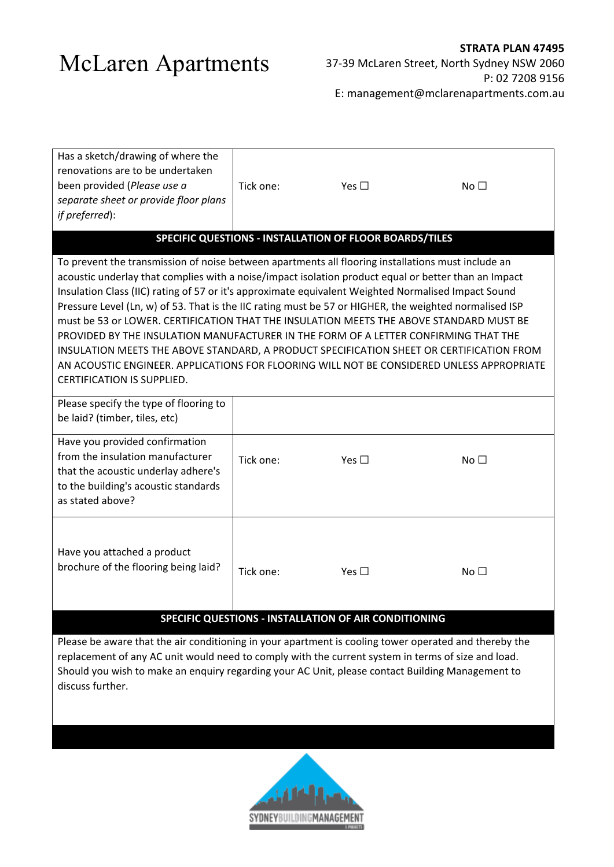| Has a sketch/drawing of where the<br>renovations are to be undertaken<br>been provided (Please use a<br>separate sheet or provide floor plans<br>if preferred):                                                                                                                                                                                                                                                                                                                                                                                                                                                                                                                                                                                                                                                                      | Tick one: | Yes $\square$ | No <sub>1</sub> |  |  |  |  |  |
|--------------------------------------------------------------------------------------------------------------------------------------------------------------------------------------------------------------------------------------------------------------------------------------------------------------------------------------------------------------------------------------------------------------------------------------------------------------------------------------------------------------------------------------------------------------------------------------------------------------------------------------------------------------------------------------------------------------------------------------------------------------------------------------------------------------------------------------|-----------|---------------|-----------------|--|--|--|--|--|
| SPECIFIC QUESTIONS - INSTALLATION OF FLOOR BOARDS/TILES                                                                                                                                                                                                                                                                                                                                                                                                                                                                                                                                                                                                                                                                                                                                                                              |           |               |                 |  |  |  |  |  |
| To prevent the transmission of noise between apartments all flooring installations must include an<br>acoustic underlay that complies with a noise/impact isolation product equal or better than an Impact<br>Insulation Class (IIC) rating of 57 or it's approximate equivalent Weighted Normalised Impact Sound<br>Pressure Level (Ln, w) of 53. That is the IIC rating must be 57 or HIGHER, the weighted normalised ISP<br>must be 53 or LOWER. CERTIFICATION THAT THE INSULATION MEETS THE ABOVE STANDARD MUST BE<br>PROVIDED BY THE INSULATION MANUFACTURER IN THE FORM OF A LETTER CONFIRMING THAT THE<br>INSULATION MEETS THE ABOVE STANDARD, A PRODUCT SPECIFICATION SHEET OR CERTIFICATION FROM<br>AN ACOUSTIC ENGINEER. APPLICATIONS FOR FLOORING WILL NOT BE CONSIDERED UNLESS APPROPRIATE<br>CERTIFICATION IS SUPPLIED. |           |               |                 |  |  |  |  |  |
| Please specify the type of flooring to<br>be laid? (timber, tiles, etc)                                                                                                                                                                                                                                                                                                                                                                                                                                                                                                                                                                                                                                                                                                                                                              |           |               |                 |  |  |  |  |  |
| Have you provided confirmation<br>from the insulation manufacturer<br>that the acoustic underlay adhere's<br>to the building's acoustic standards<br>as stated above?                                                                                                                                                                                                                                                                                                                                                                                                                                                                                                                                                                                                                                                                | Tick one: | Yes $\square$ | No <sub>1</sub> |  |  |  |  |  |
| Have you attached a product<br>brochure of the flooring being laid?                                                                                                                                                                                                                                                                                                                                                                                                                                                                                                                                                                                                                                                                                                                                                                  | Tick one: | Yes $\square$ | No <sub>1</sub> |  |  |  |  |  |
| SPECIFIC QUESTIONS - INSTALLATION OF AIR CONDITIONING                                                                                                                                                                                                                                                                                                                                                                                                                                                                                                                                                                                                                                                                                                                                                                                |           |               |                 |  |  |  |  |  |
| Please be aware that the air conditioning in your apartment is cooling tower operated and thereby the                                                                                                                                                                                                                                                                                                                                                                                                                                                                                                                                                                                                                                                                                                                                |           |               |                 |  |  |  |  |  |

replacement of any AC unit would need to comply with the current system in terms of size and load. Should you wish to make an enquiry regarding your AC Unit, please contact Building Management to discuss further.

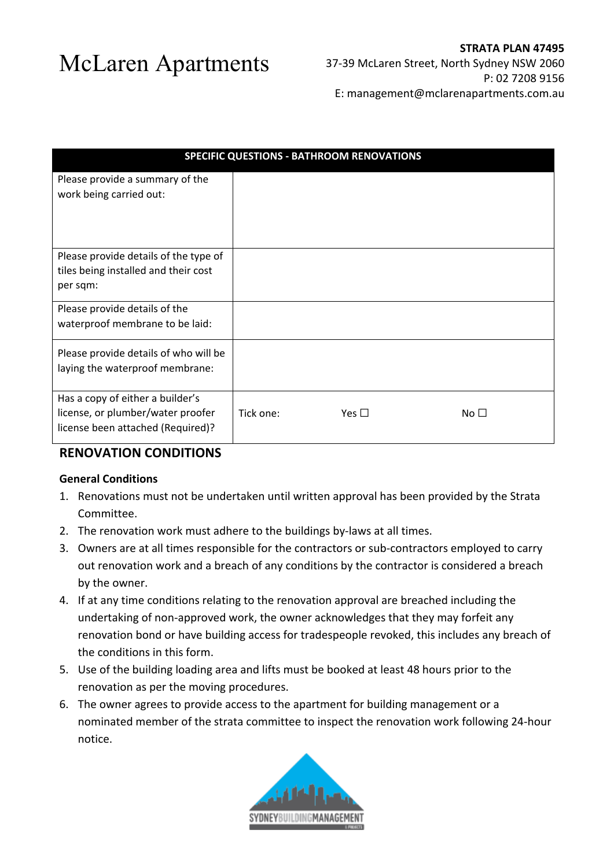| <b>SPECIFIC QUESTIONS - BATHROOM RENOVATIONS</b>                                                           |           |            |              |  |  |
|------------------------------------------------------------------------------------------------------------|-----------|------------|--------------|--|--|
| Please provide a summary of the<br>work being carried out:                                                 |           |            |              |  |  |
| Please provide details of the type of<br>tiles being installed and their cost<br>per sqm:                  |           |            |              |  |  |
| Please provide details of the<br>waterproof membrane to be laid:                                           |           |            |              |  |  |
| Please provide details of who will be<br>laying the waterproof membrane:                                   |           |            |              |  |  |
| Has a copy of either a builder's<br>license, or plumber/water proofer<br>license been attached (Required)? | Tick one: | Yes $\Box$ | No $\square$ |  |  |

### **RENOVATION CONDITIONS**

#### **General Conditions**

- 1. Renovations must not be undertaken until written approval has been provided by the Strata Committee.
- 2. The renovation work must adhere to the buildings by-laws at all times.
- 3. Owners are at all times responsible for the contractors or sub-contractors employed to carry out renovation work and a breach of any conditions by the contractor is considered a breach by the owner.
- 4. If at any time conditions relating to the renovation approval are breached including the undertaking of non-approved work, the owner acknowledges that they may forfeit any renovation bond or have building access for tradespeople revoked, this includes any breach of the conditions in this form.
- 5. Use of the building loading area and lifts must be booked at least 48 hours prior to the renovation as per the moving procedures.
- 6. The owner agrees to provide access to the apartment for building management or a nominated member of the strata committee to inspect the renovation work following 24-hour notice.

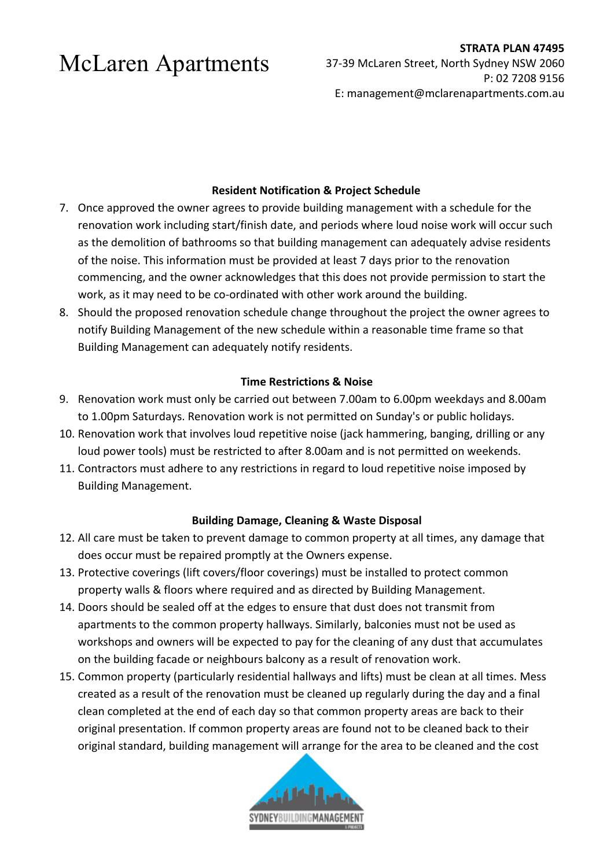### **Resident Notification & Project Schedule**

- 7. Once approved the owner agrees to provide building management with a schedule for the renovation work including start/finish date, and periods where loud noise work will occur such as the demolition of bathrooms so that building management can adequately advise residents of the noise. This information must be provided at least 7 days prior to the renovation commencing, and the owner acknowledges that this does not provide permission to start the work, as it may need to be co-ordinated with other work around the building.
- 8. Should the proposed renovation schedule change throughout the project the owner agrees to notify Building Management of the new schedule within a reasonable time frame so that Building Management can adequately notify residents.

### **Time Restrictions & Noise**

- 9. Renovation work must only be carried out between 7.00am to 6.00pm weekdays and 8.00am to 1.00pm Saturdays. Renovation work is not permitted on Sunday's or public holidays.
- 10. Renovation work that involves loud repetitive noise (jack hammering, banging, drilling or any loud power tools) must be restricted to after 8.00am and is not permitted on weekends.
- 11. Contractors must adhere to any restrictions in regard to loud repetitive noise imposed by Building Management.

### **Building Damage, Cleaning & Waste Disposal**

- 12. All care must be taken to prevent damage to common property at all times, any damage that does occur must be repaired promptly at the Owners expense.
- 13. Protective coverings (lift covers/floor coverings) must be installed to protect common property walls & floors where required and as directed by Building Management.
- 14. Doors should be sealed off at the edges to ensure that dust does not transmit from apartments to the common property hallways. Similarly, balconies must not be used as workshops and owners will be expected to pay for the cleaning of any dust that accumulates on the building facade or neighbours balcony as a result of renovation work.
- 15. Common property (particularly residential hallways and lifts) must be clean at all times. Mess created as a result of the renovation must be cleaned up regularly during the day and a final clean completed at the end of each day so that common property areas are back to their original presentation. If common property areas are found not to be cleaned back to their original standard, building management will arrange for the area to be cleaned and the cost